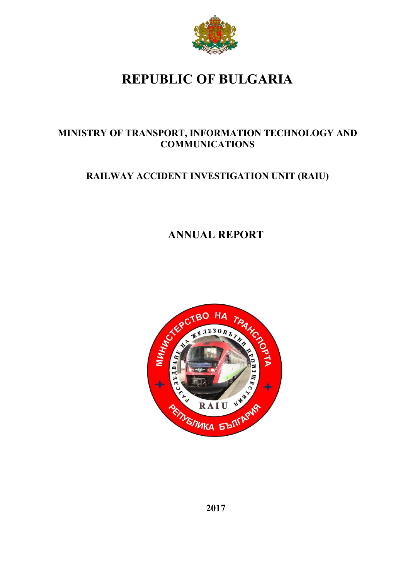

# **REPUBLIC OF BULGARIA**

# **MINISTRY OF TRANSPORT, INFORMATION TECHNOLOGY AND COMMUNICATIONS**

# **RAILWAY ACCIDENT INVESTIGATION UNIT (RAIU)**

# **ANNUAL REPORT**

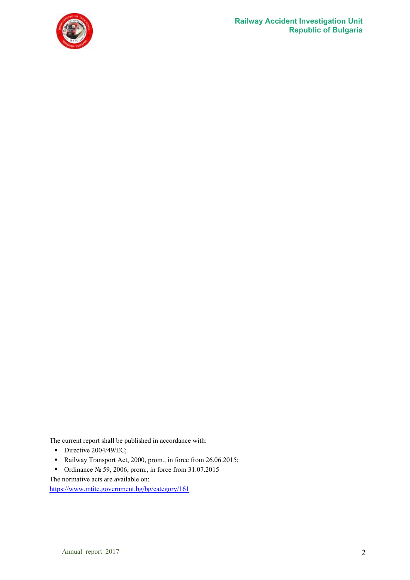

The current report shall be published in accordance with:

- Directive  $2004/49$ /EC;
- Railway Transport Act, 2000, prom., in force from 26.06.2015;
- Ordinance № 59, 2006, prom., in force from 31.07.2015
- The normative acts are available on:

https://www.mtitc.government.bg/bg/category/161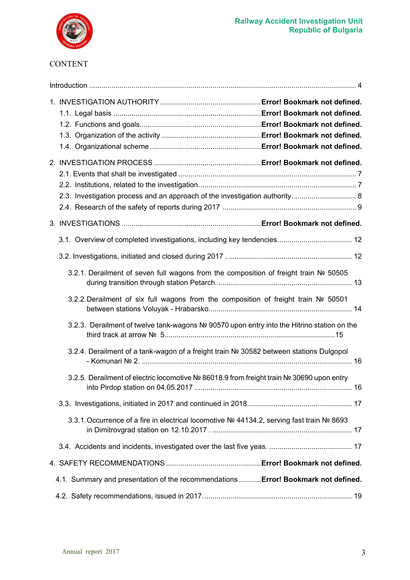

## CONTENT

| 2.3. Investigation process and an approach of the investigation authority 8                 |  |
|---------------------------------------------------------------------------------------------|--|
|                                                                                             |  |
|                                                                                             |  |
|                                                                                             |  |
| 3.2.1. Derailment of seven full wagons from the composition of freight train № 50505        |  |
| 3.2.2. Derailment of six full wagons from the composition of freight train Nº 50501         |  |
| 3.2.3. Derailment of twelve tank-wagons Nº 90570 upon entry into the Hitrino station on the |  |
| 3.2.4. Derailment of a tank-wagon of a freight train № 30582 between stations Dulgopol      |  |
| 3.2.5. Derailment of electric locomotive Nº 86018.9 from freight train Nº 30690 upon entry  |  |
|                                                                                             |  |
| 3.3.1. Occurrence of a fire in electrical locomotive Nº 44134.2, serving fast train Nº 8693 |  |
|                                                                                             |  |
|                                                                                             |  |
| 4.1. Summary and presentation of the recommendations  Error! Bookmark not defined.          |  |
|                                                                                             |  |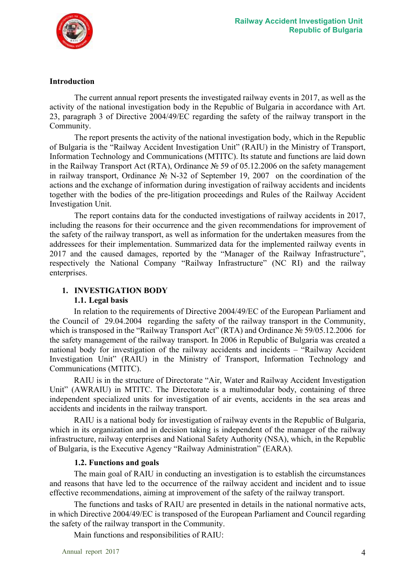

#### **Introduction**

The current annual report presents the investigated railway events in 2017, as well as the activity of the national investigation body in the Republic of Bulgaria in accordance with Art. 23, paragraph 3 of Directive 2004/49/ЕC regarding the safety of the railway transport in the Community.

The report presents the activity of the national investigation body, which in the Republic of Bulgaria is the "Railway Accident Investigation Unit" (RAIU) in the Ministry of Transport, Information Technology and Communications (MTITC). Its statute and functions are laid down in the Railway Transport Act (RTA), Ordinance № 59 of 05.12.2006 on the safety management in railway transport, Ordinance № N-32 of September 19, 2007 on the coordination of the actions and the exchange of information during investigation of railway accidents and incidents together with the bodies of the pre-litigation proceedings and Rules of the Railway Accident Investigation Unit.

The report contains data for the conducted investigations of railway accidents in 2017, including the reasons for their occurrence and the given recommendations for improvement of the safety of the railway transport, as well as information for the undertaken measures from the addressees for their implementation. Summarized data for the implemented railway events in 2017 and the caused damages, reported by the "Manager of the Railway Infrastructure", respectively the National Company "Railway Infrastructure" (NC RI) and the railway enterprises.

## **1. INVESTIGATION BODY 1.1. Legal basis**

In relation to the requirements of Directive 2004/49/ЕC of the European Parliament and the Council of 29.04.2004 regarding the safety of the railway transport in the Community, which is transposed in the "Railway Transport Act" (RTA) and Ordinance № 59/05.12.2006 for the safety management of the railway transport. In 2006 in Republic of Bulgaria was created a national body for investigation of the railway accidents and incidents – "Railway Accident Investigation Unit" (RAIU) in the Ministry of Transport, Information Technology and Communications (MTITC).

RAIU is in the structure of Directorate "Air, Water and Railway Accident Investigation Unit" (AWRAIU) in MTITC. The Directorate is a multimodular body, containing of three independent specialized units for investigation of air events, accidents in the sea areas and accidents and incidents in the railway transport.

RAIU is a national body for investigation of railway events in the Republic of Bulgaria, which in its organization and in decision taking is independent of the manager of the railway infrastructure, railway enterprises and National Safety Authority (NSA), which, in the Republic of Bulgaria, is the Executive Agency "Railway Administration" (EARA).

#### **1.2. Functions and goals**

The main goal of RAIU in conducting an investigation is to establish the circumstances and reasons that have led to the occurrence of the railway accident and incident and to issue effective recommendations, aiming at improvement of the safety of the railway transport.

The functions and tasks of RAIU are presented in details in the national normative acts, in which Directive 2004/49/ЕC is transposed of the European Parliament and Council regarding the safety of the railway transport in the Community.

Main functions and responsibilities of RAIU: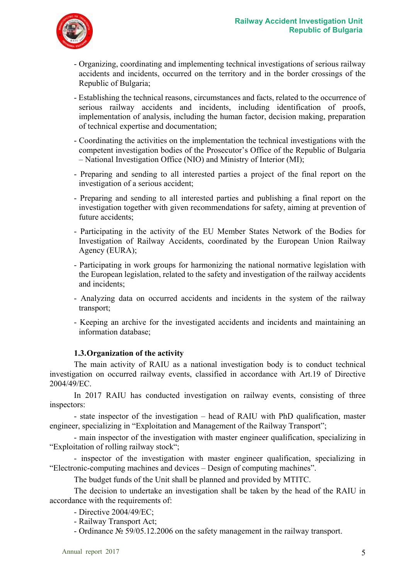

- Organizing, coordinating and implementing technical investigations of serious railway accidents and incidents, occurred on the territory and in the border crossings of the Republic of Bulgaria;
- Establishing the technical reasons, circumstances and facts, related to the occurrence of serious railway accidents and incidents, including identification of proofs, implementation of analysis, including the human factor, decision making, preparation of technical expertise and documentation;
- Coordinating the activities on the implementation the technical investigations with the competent investigation bodies of the Prosecutor's Office of the Republic of Bulgaria – National Investigation Office (NIO) and Ministry of Interior (MI);
- Preparing and sending to all interested parties a project of the final report on the investigation of a serious accident;
- Preparing and sending to all interested parties and publishing a final report on the investigation together with given recommendations for safety, aiming at prevention of future accidents;
- Participating in the activity of the EU Member States Network of the Bodies for Investigation of Railway Accidents, coordinated by the European Union Railway Agency (EURA);
- Participating in work groups for harmonizing the national normative legislation with the European legislation, related to the safety and investigation of the railway accidents and incidents;
- Analyzing data on occurred accidents and incidents in the system of the railway transport;
- Keeping an archive for the investigated accidents and incidents and maintaining an information database;

## **1.3.Organization of the activity**

The main activity of RAIU as a national investigation body is to conduct technical investigation on occurred railway events, classified in accordance with Art.19 of Directive 2004/49/ЕC.

In 2017 RAIU has conducted investigation on railway events, consisting of three inspectors:

- state inspector of the investigation – head of RAIU with PhD qualification, master engineer, specializing in "Exploitation and Management of the Railway Transport";

- main inspector of the investigation with master engineer qualification, specializing in "Exploitation of rolling railway stock";

- inspector of the investigation with master engineer qualification, specializing in "Electronic-computing machines and devices – Design of computing machines".

The budget funds of the Unit shall be planned and provided by MTITC.

The decision to undertake an investigation shall be taken by the head of the RAIU in accordance with the requirements of:

- Directive 2004/49/ЕC;

- Railway Transport Act;

- Ordinance № 59/05.12.2006 on the safety management in the railway transport.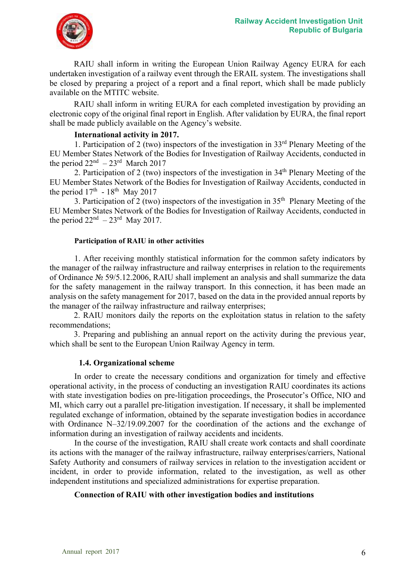

RAIU shall inform in writing the European Union Railway Agency EURA for each undertaken investigation of a railway event through the ERAIL system. The investigations shall be closed by preparing a project of a report and a final report, which shall be made publicly available on the MTITC website.

RAIU shall inform in writing EURA for each completed investigation by providing an electronic copy of the original final report in English. After validation by EURA, the final report shall be made publicly available on the Agency's website.

#### **International activity in 2017.**

1. Participation of 2 (two) inspectors of the investigation in 33rd Plenary Meeting of the EU Member States Network of the Bodies for Investigation of Railway Accidents, conducted in the period  $22<sup>nd</sup> - 23<sup>rd</sup>$  March 2017

2. Participation of 2 (two) inspectors of the investigation in 34<sup>th</sup> Plenary Meeting of the EU Member States Network of the Bodies for Investigation of Railway Accidents, conducted in the period  $17<sup>th</sup>$  -  $18<sup>th</sup>$  May 2017

3. Participation of 2 (two) inspectors of the investigation in  $35<sup>th</sup>$  Plenary Meeting of the EU Member States Network of the Bodies for Investigation of Railway Accidents, conducted in the period  $22<sup>nd</sup> - 23<sup>rd</sup>$  May 2017.

#### **Participation of RAIU in other activities**

1. After receiving monthly statistical information for the common safety indicators by the manager of the railway infrastructure and railway enterprises in relation to the requirements of Ordinance № 59/5.12.2006, RAIU shall implement an analysis and shall summarize the data for the safety management in the railway transport. In this connection, it has been made an analysis on the safety management for 2017, based on the data in the provided annual reports by the manager of the railway infrastructure and railway enterprises;

2. RAIU monitors daily the reports on the exploitation status in relation to the safety recommendations;

3. Preparing and publishing an annual report on the activity during the previous year, which shall be sent to the European Union Railway Agency in term.

#### **1.4. Organizational scheme**

In order to create the necessary conditions and organization for timely and effective operational activity, in the process of conducting an investigation RAIU coordinates its actions with state investigation bodies on pre-litigation proceedings, the Prosecutor's Office, NIO and MI, which carry out a parallel pre-litigation investigation. If necessary, it shall be implemented regulated exchange of information, obtained by the separate investigation bodies in accordance with Ordinance N–32/19.09.2007 for the coordination of the actions and the exchange of information during an investigation of railway accidents and incidents.

In the course of the investigation, RAIU shall create work contacts and shall coordinate its actions with the manager of the railway infrastructure, railway enterprises/carriers, National Safety Authority and consumers of railway services in relation to the investigation accident or incident, in order to provide information, related to the investigation, as well as other independent institutions and specialized administrations for expertise preparation.

#### **Connection of RAIU with other investigation bodies and institutions**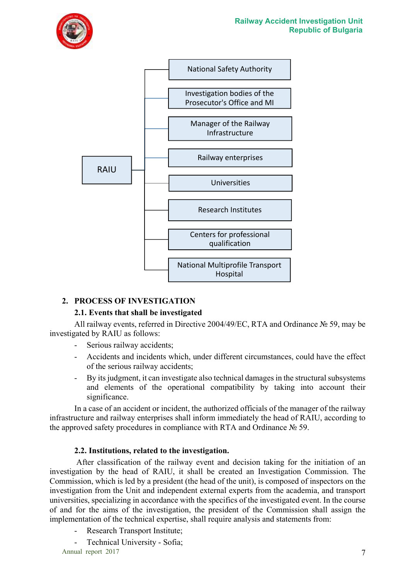



## **2. PROCESS OF INVESTIGATION**

## **2.1. Events that shall be investigated**

All railway events, referred in Directive 2004/49/ЕC, RTA and Ordinance № 59, may be investigated by RAIU as follows:

- Serious railway accidents;
- Accidents and incidents which, under different circumstances, could have the effect of the serious railway accidents;
- By its judgment, it can investigate also technical damages in the structural subsystems and elements of the operational compatibility by taking into account their significance.

In a case of an accident or incident, the authorized officials of the manager of the railway infrastructure and railway enterprises shall inform immediately the head of RAIU, according to the approved safety procedures in compliance with RTA and Ordinance № 59.

## **2.2. Institutions, related to the investigation.**

 After classification of the railway event and decision taking for the initiation of an investigation by the head of RAIU, it shall be created an Investigation Commission. The Commission, which is led by a president (the head of the unit), is composed of inspectors on the investigation from the Unit and independent external experts from the academia, and transport universities, specializing in accordance with the specifics of the investigated event. In the course of and for the aims of the investigation, the president of the Commission shall assign the implementation of the technical expertise, shall require analysis and statements from:

- Research Transport Institute;
- Technical University Sofia;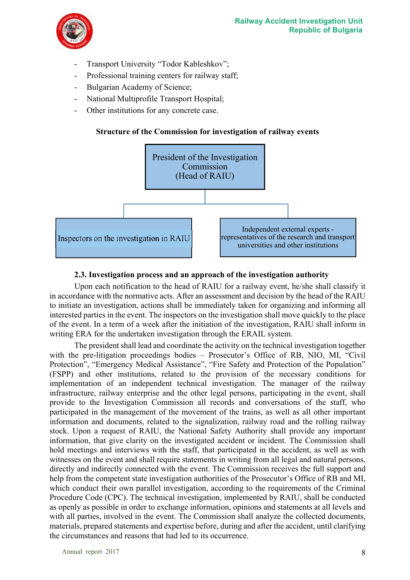

- Transport University "Todor Kableshkov";
- Professional training centers for railway staff;
- Bulgarian Academy of Science;
- National Multiprofile Transport Hospital;
- Other institutions for any concrete case.

## **Structure of the Commission for investigation of railway events**



#### **2.3. Investigation process and an approach of the investigation authority**

Upon each notification to the head of RAIU for a railway event, he/she shall classify it in accordance with the normative acts. After an assessment and decision by the head of the RAIU to initiate an investigation, actions shall be immediately taken for organizing and informing all interested parties in the event. The inspectors on the investigation shall move quickly to the place of the event. In a term of a week after the initiation of the investigation, RAIU shall inform in writing ERA for the undertaken investigation through the ERAIL system.

The president shall lead and coordinate the activity on the technical investigation together with the pre-litigation proceedings bodies – Prosecutor's Office of RB, NIO, MI, "Civil Protection", "Emergency Medical Assistance", "Fire Safety and Protection of the Population" (FSPP) and other institutions, related to the provision of the necessary conditions for implementation of an independent technical investigation. The manager of the railway infrastructure, railway enterprise and the other legal persons, participating in the event, shall provide to the Investigation Commission all records and conversations of the staff, who participated in the management of the movement of the trains, as well as all other important information and documents, related to the signalization, railway road and the rolling railway stock. Upon a request of RAIU, the National Safety Authority shall provide any important information, that give clarity on the investigated accident or incident. The Commission shall hold meetings and interviews with the staff, that participated in the accident, as well as with witnesses on the event and shall require statements in writing from all legal and natural persons, directly and indirectly connected with the event. The Commission receives the full support and help from the competent state investigation authorities of the Prosecutor's Office of RB and MI, which conduct their own parallel investigation, according to the requirements of the Criminal Procedure Code (CPC). The technical investigation, implemented by RAIU, shall be conducted as openly as possible in order to exchange information, opinions and statements at all levels and with all parties, involved in the event. The Commission shall analyze the collected documents, materials, prepared statements and expertise before, during and after the accident, until clarifying the circumstances and reasons that had led to its occurrence.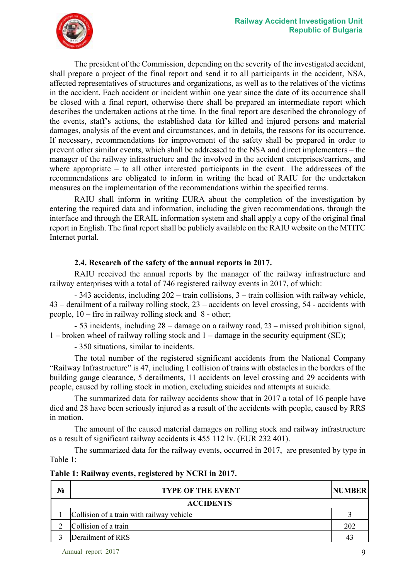

The president of the Commission, depending on the severity of the investigated accident, shall prepare a project of the final report and send it to all participants in the accident, NSA, affected representatives of structures and organizations, as well as to the relatives of the victims in the accident. Each accident or incident within one year since the date of its occurrence shall be closed with a final report, otherwise there shall be prepared an intermediate report which describes the undertaken actions at the time. In the final report are described the chronology of the events, staff's actions, the established data for killed and injured persons and material damages, analysis of the event and circumstances, and in details, the reasons for its occurrence. If necessary, recommendations for improvement of the safety shall be prepared in order to prevent other similar events, which shall be addressed to the NSA and direct implementers – the manager of the railway infrastructure and the involved in the accident enterprises/carriers, and where appropriate – to all other interested participants in the event. The addressees of the recommendations are obligated to inform in writing the head of RAIU for the undertaken measures on the implementation of the recommendations within the specified terms.

RAIU shall inform in writing EURA about the completion of the investigation by entering the required data and information, including the given recommendations, through the interface and through the ERAIL information system and shall apply a copy of the original final report in English. The final report shall be publicly available on the RAIU website on the MTITC Internet portal.

#### **2.4. Research of the safety of the annual reports in 2017.**

RAIU received the annual reports by the manager of the railway infrastructure and railway enterprises with a total of 746 registered railway events in 2017, of which:

- 343 accidents, including 202 – train collisions, 3 – train collision with railway vehicle, 43 – derailment of a railway rolling stock, 23 – accidents on level crossing, 54 - accidents with people, 10 – fire in railway rolling stock and 8 - other;

- 53 incidents, including 28 – damage on a railway road, 23 – missed prohibition signal, 1 – broken wheel of railway rolling stock and 1 – damage in the security equipment (SE);

- 350 situations, similar to incidents.

The total number of the registered significant accidents from the National Company "Railway Infrastructure" is 47, including 1 collision of trains with obstacles in the borders of the building gauge clearance, 5 derailments, 11 accidents on level crossing and 29 accidents with people, caused by rolling stock in motion, excluding suicides and attempts at suicide.

The summarized data for railway accidents show that in 2017 a total of 16 people have died and 28 have been seriously injured as a result of the accidents with people, caused by RRS in motion.

The amount of the caused material damages on rolling stock and railway infrastructure as a result of significant railway accidents is 455 112 lv. (EUR 232 401).

The summarized data for the railway events, occurred in 2017, are presented by type in Table 1:

| No | <b>TYPE OF THE EVENT</b>                  | <b>NUMBER</b> |
|----|-------------------------------------------|---------------|
|    | <b>ACCIDENTS</b>                          |               |
|    | Collision of a train with railway vehicle |               |
|    | Collision of a train                      | 202           |
|    | Derailment of RRS                         | 43            |

#### **Table 1: Railway events, registered by NCRI in 2017.**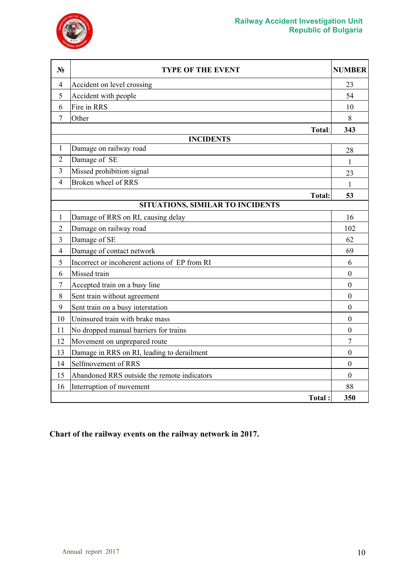



| $N_2$          | <b>TYPE OF THE EVENT</b>                      | <b>NUMBER</b>    |
|----------------|-----------------------------------------------|------------------|
| $\overline{4}$ | Accident on level crossing                    | 23               |
| 5              | Accident with people                          | 54               |
| 6              | Fire in RRS                                   | 10               |
| 7              | Other                                         | 8                |
|                | Total:                                        | 343              |
|                | <b>INCIDENTS</b>                              |                  |
| 1              | Damage on railway road                        | 28               |
| $\overline{2}$ | Damage of SE                                  | 1                |
| 3              | Missed prohibition signal                     | 23               |
| $\overline{4}$ | Broken wheel of RRS                           | 1                |
|                | <b>Total:</b>                                 | 53               |
|                | SITUATIONS, SIMILAR TO INCIDENTS              |                  |
| $\mathbf{1}$   | Damage of RRS on RI, causing delay            | 16               |
| $\overline{2}$ | Damage on railway road                        | 102              |
| 3              | Damage of SE                                  | 62               |
| $\overline{4}$ | Damage of contact network                     | 69               |
| 5              | Incorrect or incoherent actions of EP from RI | 6                |
| 6              | Missed train                                  | $\mathbf{0}$     |
| 7              | Accepted train on a busy line                 | 0                |
| 8              | Sent train without agreement                  | $\boldsymbol{0}$ |
| 9              | Sent train on a busy interstation             | $\theta$         |
| 10             | Uninsured train with brake mass               | $\mathbf{0}$     |
| 11             | No dropped manual barriers for trains         | $\overline{0}$   |
| 12             | Movement on unprepared route                  | $\overline{7}$   |
| 13             | Damage in RRS on RI, leading to derailment    | $\boldsymbol{0}$ |
| 14             | Selfmovement of RRS                           | $\mathbf{0}$     |
| 15             | Abandoned RRS outside the remote indicators   | $\Omega$         |
| 16             | Interruption of movement                      | 88               |
|                | Total:                                        | 350              |

**Chart of the railway events on the railway network in 2017.**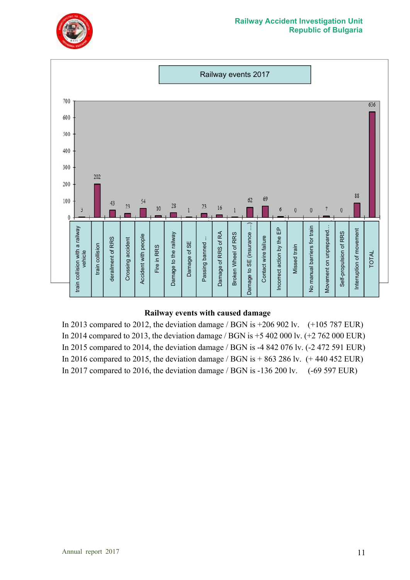



#### **Railway events with caused damage**

In 2013 compared to 2012, the deviation damage / BGN is +206 902 lv. (+105 787 EUR) In 2014 compared to 2013, the deviation damage / BGN is +5 402 000 lv. (+2 762 000 EUR) In 2015 compared to 2014, the deviation damage / BGN is -4 842 076 lv. (-2 472 591 EUR) In 2016 compared to 2015, the deviation damage / BGN is  $+863286$  lv.  $(+ 440452$  EUR) In 2017 compared to 2016, the deviation damage / BGN is -136 200 lv. (-69 597 EUR)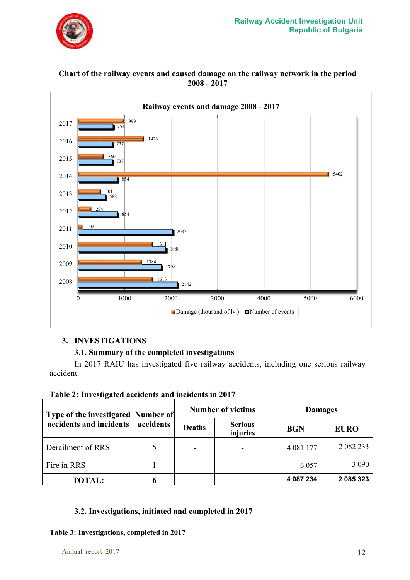

#### 2142 1798 1888 2037 854 588 854 737 737 754  $161'$ 1384 161 102 294 501 5402 560 1423  $000$ 0 1000 2000 3000 4000 5000 6000 2008 2009 2010 2011 2012 2013 2014 2015 2016 2017 **Railway events and damage 2008 - 2017** Damage (thousand of lv.)  $\Box$  Number of events

## **Chart of the railway events and caused damage on the railway network in the period 2008 - 2017**

## **3. INVESTIGATIONS**

## **3.1. Summary of the completed investigations**

In 2017 RAIU has investigated five railway accidents, including one serious railway accident.

|  | Table 2: Investigated accidents and incidents in 2017 |  |
|--|-------------------------------------------------------|--|
|  |                                                       |  |

| Type of the investigated Number of |           |               | <b>Number of victims</b>   | <b>Damages</b> |             |  |
|------------------------------------|-----------|---------------|----------------------------|----------------|-------------|--|
| accidents and incidents            | accidents | <b>Deaths</b> | <b>Serious</b><br>injuries | <b>BGN</b>     | <b>EURO</b> |  |
| Derailment of RRS                  |           | -             |                            | 4 081 177      | 2 082 233   |  |
| Fire in RRS                        |           |               |                            | 6 0 5 7        | 3 0 9 0     |  |
| <b>TOTAL:</b>                      |           | -             |                            | 4 087 234      | 2 085 323   |  |

## **3.2. Investigations, initiated and completed in 2017**

## **Table 3: Investigations, completed in 2017**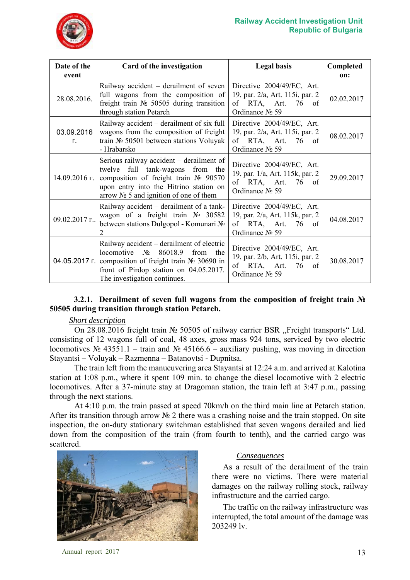

| Date of the<br>event                                                                                                                                                                                                               | Card of the investigation                                                                                                                                                                                    | <b>Legal basis</b>                                                                                         | Completed<br>on: |
|------------------------------------------------------------------------------------------------------------------------------------------------------------------------------------------------------------------------------------|--------------------------------------------------------------------------------------------------------------------------------------------------------------------------------------------------------------|------------------------------------------------------------------------------------------------------------|------------------|
| 28.08.2016.                                                                                                                                                                                                                        | Railway accident – derailment of seven<br>full wagons from the composition of<br>freight train $N_2$ 50505 during transition<br>through station Petarch                                                      | Directive 2004/49/EC, Art.<br>19, par. 2/a, Art. 115i, par. 2<br>of RTA, Art. 76<br>of<br>Ordinance № 59   | 02.02.2017       |
| 03.09.2016<br>Г.                                                                                                                                                                                                                   | Railway accident – derailment of six full<br>wagons from the composition of freight<br>train $N2$ 50501 between stations Voluyak<br>- Hrabarsko                                                              | Directive 2004/49/EC, Art.<br>19, par. 2/a, Art. 115i, par. 2<br>of RTA, Art. 76<br>0t<br>Ordinance No 59  | 08.02.2017       |
| Serious railway accident – derailment of<br>twelve full tank-wagons from the<br>composition of freight train $N_2$ 90570<br>$14.09.2016$ r.<br>upon entry into the Hitrino station on<br>arrow $N_2$ 5 and ignition of one of them |                                                                                                                                                                                                              | Directive 2004/49/EC, Art.<br>19, par. 1/a, Art. 115k, par. 2<br>of RTA, Art. 76<br>-ot<br>Ordinance № 59  | 29.09.2017       |
| Railway accident – derailment of a tank-<br>wagon of a freight train $N_2$ 30582<br>09.02.2017 г.<br>between stations Dulgopol - Komunari No<br>$\mathcal{L}$                                                                      |                                                                                                                                                                                                              | Directive 2004/49/EC, Art.<br>19, par. 2/a, Art. 115k, par. 2<br>of RTA, Art. 76<br>-ot<br>Ordinance No 59 | 04.08.2017       |
| 04.05.2017 г.                                                                                                                                                                                                                      | Railway accident – derailment of electric<br>locomotive $N_2$<br>86018.9<br>from the<br>composition of freight train $N2$ 30690 in<br>front of Pirdop station on 04.05.2017.<br>The investigation continues. | Directive 2004/49/EC, Art.<br>19, par. 2/b, Art. 115i, par. 2<br>of RTA, Art. 76<br>Ωt<br>Ordinance № 59   | 30.08.2017       |

## **3.2.1. Derailment of seven full wagons from the composition of freight train № 50505 during transition through station Petarch.**

#### *Short description*

On 28.08.2016 freight train № 50505 of railway carrier BSR ,,Freight transports" Ltd. consisting of 12 wagons full of coal, 48 axes, gross mass 924 tons, serviced by two electric locomotives № 43551.1 – train and № 45166.6 – auxiliary pushing, was moving in direction Stayantsi – Voluyak – Razmenna – Batanovtsi - Dupnitsa.

The train left from the manueuvering area Stayantsi at 12:24 a.m. and arrived at Kalotina station at 1:08 p.m., where it spent 109 min. to change the diesel locomotive with 2 electric locomotives. After a 37-minute stay at Dragoman station, the train left at 3:47 p.m., passing through the next stations.

At 4:10 p.m. the train passed at speed 70km/h on the third main line at Petarch station. After its transition through arrow № 2 there was a crashing noise and the train stopped. On site inspection, the on-duty stationary switchman established that seven wagons derailed and lied down from the composition of the train (from fourth to tenth), and the carried cargo was scattered.



#### *Consequences*

As a result of the derailment of the train there were no victims. There were material damages on the railway rolling stock, railway infrastructure and the carried cargo.

The traffic on the railway infrastructure was interrupted, the total amount of the damage was 203249 lv.

Annual report 2017 13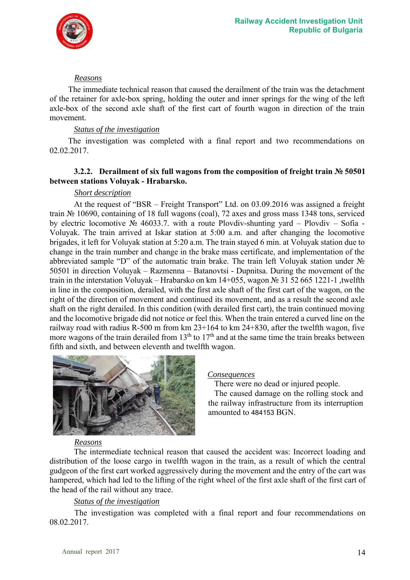![](_page_13_Picture_0.jpeg)

#### *Reasons*

The immediate technical reason that caused the derailment of the train was the detachment of the retainer for axle-box spring, holding the outer and inner springs for the wing of the left axle-box of the second axle shaft of the first cart of fourth wagon in direction of the train movement.

## *Status of the investigation*

The investigation was completed with a final report and two recommendations on 02.02.2017.

#### **3.2.2. Derailment of six full wagons from the composition of freight train № 50501 between stations Voluyak - Hrabarsko.**

#### *Short description*

At the request of "BSR – Freight Transport" Ltd. on 03.09.2016 was assigned a freight train № 10690, containing of 18 full wagons (coal), 72 axes and gross mass 1348 tons, serviced by electric locomotive № 46033.7. with a route Plovdiv-shunting yard – Plovdiv – Sofia - Voluyak. The train arrived at Iskar station at 5:00 a.m. and after changing the locomotive brigades, it left for Voluyak station at 5:20 a.m. The train stayed 6 min. at Voluyak station due to change in the train number and change in the brake mass certificate, and implementation of the abbreviated sample "D" of the automatic train brake. The train left Voluyak station under № 50501 in direction Voluyak – Razmenna – Batanovtsi - Dupnitsa. During the movement of the train in the interstation Voluyak – Hrabarsko on km 14+055, wagon № 31 52 665 1221-1 ,twelfth in line in the composition, derailed, with the first axle shaft of the first cart of the wagon, on the right of the direction of movement and continued its movement, and as a result the second axle shaft on the right derailed. In this condition (with derailed first cart), the train continued moving and the locomotive brigade did not notice or feel this. When the train entered a curved line on the railway road with radius R-500 m from km 23+164 to km 24+830, after the twelfth wagon, five more wagons of the train derailed from  $13<sup>th</sup>$  to  $17<sup>th</sup>$  and at the same time the train breaks between fifth and sixth, and between eleventh and twelfth wagon.

![](_page_13_Picture_9.jpeg)

#### *Consequences*

There were no dead or injured people.

 The caused damage on the rolling stock and the railway infrastructure from its interruption amounted to 484153 BGN.

#### *Reasons*

The intermediate technical reason that caused the accident was: Incorrect loading and distribution of the loose cargo in twelfth wagon in the train, as a result of which the central gudgeon of the first cart worked aggressively during the movement and the entry of the cart was hampered, which had led to the lifting of the right wheel of the first axle shaft of the first cart of the head of the rail without any trace.

#### *Status of the investigation*

The investigation was completed with a final report and four recommendations on 08.02.2017.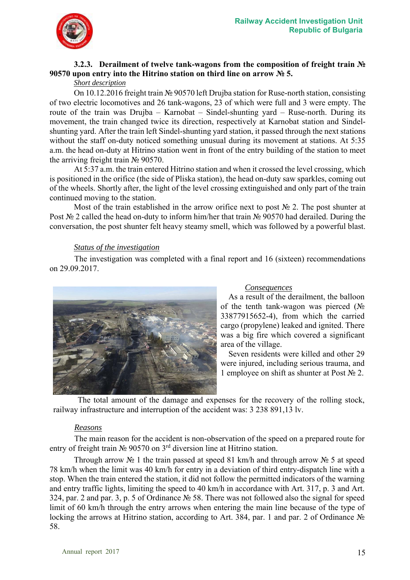![](_page_14_Picture_1.jpeg)

## **3.2.3. Derailment of twelve tank-wagons from the composition of freight train № 90570 upon entry into the Hitrino station on third line on arrow № 5.**

## *Short description*

On 10.12.2016 freight train № 90570 left Drujba station for Ruse-north station, consisting of two electric locomotives and 26 tank-wagons, 23 of which were full and 3 were empty. The route of the train was Drujba – Karnobat – Sindel-shunting yard – Ruse-north. During its movement, the train changed twice its direction, respectively at Karnobat station and Sindelshunting yard. After the train left Sindel-shunting yard station, it passed through the next stations without the staff on-duty noticed something unusual during its movement at stations. At 5:35 a.m. the head on-duty at Hitrino station went in front of the entry building of the station to meet the arriving freight train № 90570.

At 5:37 a.m. the train entered Hitrino station and when it crossed the level crossing, which is positioned in the orifice (the side of Pliska station), the head on-duty saw sparkles, coming out of the wheels. Shortly after, the light of the level crossing extinguished and only part of the train continued moving to the station.

Most of the train established in the arrow orifice next to post  $\mathbb{N}_{2}$  2. The post shunter at Post № 2 called the head on-duty to inform him/her that train № 90570 had derailed. During the conversation, the post shunter felt heavy steamy smell, which was followed by a powerful blast.

#### *Status of the investigation*

The investigation was completed with a final report and 16 (sixteen) recommendations on 29.09.2017.

![](_page_14_Picture_9.jpeg)

#### *Consequences*

As a result of the derailment, the balloon of the tenth tank-wagon was pierced ( $N_2$ ) 33877915652-4), from which the carried cargo (propylene) leaked and ignited. There was a big fire which covered a significant area of the village.

Seven residents were killed and other 29 were injured, including serious trauma, and 1 employee on shift as shunter at Post  $N_2$  2.

The total amount of the damage and expenses for the recovery of the rolling stock, railway infrastructure and interruption of the accident was: 3 238 891,13 lv.

## *Reasons*

The main reason for the accident is non-observation of the speed on a prepared route for entry of freight train № 90570 on 3rd diversion line at Hitrino station.

Through arrow № 1 the train passed at speed 81 km/h and through arrow № 5 at speed 78 km/h when the limit was 40 km/h for entry in a deviation of third entry-dispatch line with a stop. When the train entered the station, it did not follow the permitted indicators of the warning and entry traffic lights, limiting the speed to 40 km/h in accordance with Art. 317, p. 3 and Art. 324, par. 2 and par. 3, p. 5 of Ordinance № 58. There was not followed also the signal for speed limit of 60 km/h through the entry arrows when entering the main line because of the type of locking the arrows at Hitrino station, according to Art. 384, par. 1 and par. 2 of Ordinance № 58.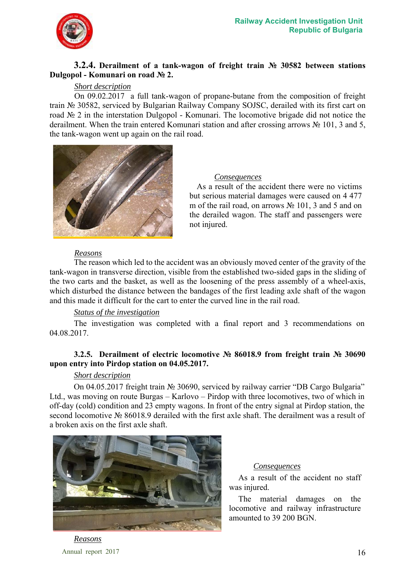![](_page_15_Picture_0.jpeg)

#### **3.2.4. Derailment of a tank-wagon of freight train № 30582 between stations Dulgopol - Komunari on road № 2.**

#### *Short description*

On 09.02.2017 a full tank-wagon of propane-butane from the composition of freight train № 30582, serviced by Bulgarian Railway Company SOJSC, derailed with its first cart on road № 2 in the interstation Dulgopol - Komunari. The locomotive brigade did not notice the derailment. When the train entered Komunari station and after crossing arrows № 101, 3 and 5, the tank-wagon went up again on the rail road.

![](_page_15_Picture_5.jpeg)

#### *Consequences*

As a result of the accident there were no victims but serious material damages were caused on 4 477 m of the rail road, on arrows № 101, 3 and 5 and on the derailed wagon. The staff and passengers were not injured.

#### *Reasons*

The reason which led to the accident was an obviously moved center of the gravity of the tank-wagon in transverse direction, visible from the established two-sided gaps in the sliding of the two carts and the basket, as well as the loosening of the press assembly of a wheel-axis, which disturbed the distance between the bandages of the first leading axle shaft of the wagon and this made it difficult for the cart to enter the curved line in the rail road.

#### *Status of the investigation*

The investigation was completed with a final report and 3 recommendations on 04.08.2017.

## **3.2.5. Derailment of electric locomotive № 86018.9 from freight train № 30690 upon entry into Pirdop station on 04.05.2017.**

#### *Short description*

On 04.05.2017 freight train № 30690, serviced by railway carrier "DB Cargo Bulgaria" Ltd., was moving on route Burgas – Karlovo – Pirdop with three locomotives, two of which in off-day (cold) condition and 23 empty wagons. In front of the entry signal at Pirdop station, the second locomotive № 86018.9 derailed with the first axle shaft. The derailment was a result of a broken axis on the first axle shaft.

![](_page_15_Picture_15.jpeg)

#### *Consequences*

As a result of the accident no staff was injured.

The material damages on the locomotive and railway infrastructure amounted to 39 200 BGN.

Annual report 2017 16 *Reasons*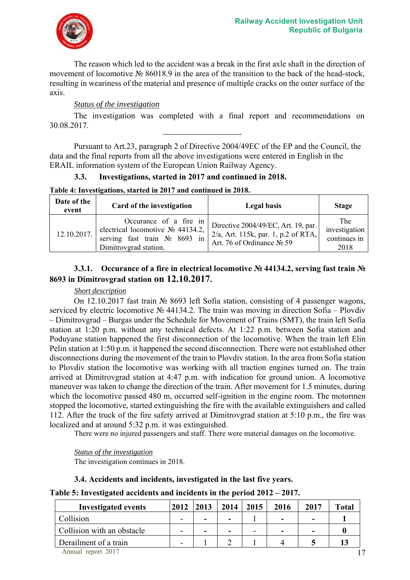![](_page_16_Picture_1.jpeg)

The reason which led to the accident was a break in the first axle shaft in the direction of movement of locomotive № 86018.9 in the area of the transition to the back of the head-stock, resulting in weariness of the material and presence of multiple cracks on the outer surface of the axis.

## *Status of the investigation*

The investigation was completed with a final report and recommendations on 30.08.2017.

Pursuant to Art.23, paragraph 2 of Directive 2004/49ЕC of the EP and the Council, the data and the final reports from all the above investigations were entered in English in the ERAIL information system of the European Union Railway Agency.

## **3.3. Investigations, started in 2017 and continued in 2018.**

**Table 4: Investigations, started in 2017 and continued in 2018.**

| Date of the<br>event | Card of the investigation                                                                                                   | <b>Legal basis</b>                                                                                         | <b>Stage</b>                                        |
|----------------------|-----------------------------------------------------------------------------------------------------------------------------|------------------------------------------------------------------------------------------------------------|-----------------------------------------------------|
| 12.10.2017.          | Occurance of a fire in<br>electrical locomotive $N_2$ 44134.2,<br>serving fast train $N_2$ 8693 in<br>Dimitrovgrad station. | Directive 2004/49/EC, Art. 19, par.<br>$2/a$ , Art. 115k, par. 1, p.2 of RTA,<br>Art. 76 of Ordinance № 59 | <b>The</b><br>investigation<br>continues in<br>2018 |

## **3.3.1. Occurance of a fire in electrical locomotive № 44134.2, serving fast train № 8693 in Dimitrovgrad station on 12.10.2017.**

## *Short description*

On 12.10.2017 fast train № 8693 left Sofia station, consisting of 4 passenger wagons, serviced by electric locomotive № 44134.2. The train was moving in direction Sofia – Plovdiv – Dimitrovgrad – Burgas under the Schedule for Movement of Trains (SMT), the train left Sofia station at 1:20 p.m. without any technical defects. At 1:22 p.m. between Sofia station and Poduyane station happened the first disconnection of the locomotive. When the train left Elin Pelin station at 1:50 p.m. it happened the second disconnection. There were not established other disconnections during the movement of the train to Plovdiv station. In the area from Sofia station to Plovdiv station the locomotive was working with all traction engines turned on. The train arrived at Dimitrovgrad station at 4:47 p.m. with indication for ground union. A locomotive maneuver was taken to change the direction of the train. After movement for 1.5 minutes, during which the locomotive passed 480 m, occurred self-ignition in the engine room. The motormen stopped the locomotive, started extinguishing the fire with the available extinguishers and called 112. After the truck of the fire safety arrived at Dimitrovgrad station at 5:10 p.m., the fire was localized and at around 5:32 p.m. it was extinguished.

There were no injured passengers and staff. There were material damages on the locomotive.

*Status of the investigation*  The investigation continues in 2018.

## **3.4. Accidents and incidents, investigated in the last five years.**

**Table 5: Investigated accidents and incidents in the period 2012 – 2017.** 

| <b>Investigated events</b> | 2012                     | 2013 | 2014 | 2015 | 2016                     | 2017 | <b>Total</b> |
|----------------------------|--------------------------|------|------|------|--------------------------|------|--------------|
| Collision                  | -                        | -    | -    |      | $\overline{\phantom{0}}$ | -    |              |
| Collision with an obstacle | -                        | -    | -    |      | -                        |      |              |
| Derailment of a train      | $\overline{\phantom{0}}$ |      |      |      |                          |      | 13           |
| Annual report 2017         |                          |      |      |      |                          |      |              |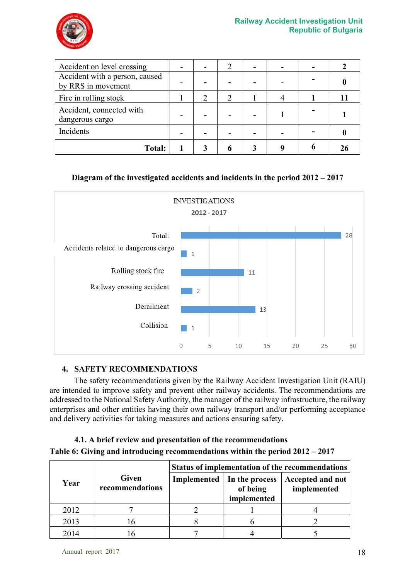![](_page_17_Picture_1.jpeg)

| Accident on level crossing                           |  |  |  |  |
|------------------------------------------------------|--|--|--|--|
| Accident with a person, caused<br>by RRS in movement |  |  |  |  |
| Fire in rolling stock                                |  |  |  |  |
| Accident, connected with<br>dangerous cargo          |  |  |  |  |
| Incidents                                            |  |  |  |  |
| <b>Total:</b>                                        |  |  |  |  |

## **Diagram of the investigated accidents and incidents in the period 2012 – 2017**

![](_page_17_Figure_4.jpeg)

## **4. SAFETY RECOMMENDATIONS**

The safety recommendations given by the Railway Accident Investigation Unit (RAIU) are intended to improve safety and prevent other railway accidents. The recommendations are addressed to the National Safety Authority, the manager of the railway infrastructure, the railway enterprises and other entities having their own railway transport and/or performing acceptance and delivery activities for taking measures and actions ensuring safety.

## **4.1. A brief review and presentation of the recommendations Table 6: Giving and introducing recommendations within the period 2012 – 2017**

|      |                                 | Status of implementation of the recommendations |                                                         |                                 |  |  |
|------|---------------------------------|-------------------------------------------------|---------------------------------------------------------|---------------------------------|--|--|
| Year | <b>Given</b><br>recommendations |                                                 | Implemented   In the process<br>of being<br>implemented | Accepted and not<br>implemented |  |  |
| 2012 |                                 |                                                 |                                                         |                                 |  |  |
| 2013 | 16                              |                                                 |                                                         |                                 |  |  |
| 2014 |                                 |                                                 |                                                         |                                 |  |  |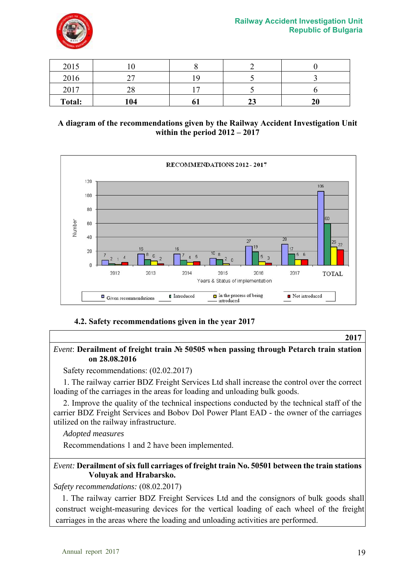![](_page_18_Picture_1.jpeg)

| 2015          | ιv        |    |    |    |
|---------------|-----------|----|----|----|
| 2016          | n 7       |    |    |    |
| 2017          | ን ହ<br>20 |    |    |    |
| <b>Total:</b> | 104       | v. | ້⊿ | 20 |

## **A diagram of the recommendations given by the Railway Accident Investigation Unit within the period 2012 – 2017**

![](_page_18_Figure_4.jpeg)

## **4.2. Safety recommendations given in the year 2017**

#### **2017**

## *Event*: **Derailment of freight train № 50505 when passing through Petarch train station on 28.08.2016**

Safety recommendations: (02.02.2017)

1. The railway carrier BDZ Freight Services Ltd shall increase the control over the correct loading of the carriages in the areas for loading and unloading bulk goods.

2. Improve the quality of the technical inspections conducted by the technical staff of the carrier BDZ Freight Services and Bobov Dol Power Plant EAD - the owner of the carriages utilized on the railway infrastructure.

*Adopted measures* 

Recommendations 1 and 2 have been implemented.

## *Event:* **Derailment of six full carriages of freight train No. 50501 between the train stations Voluyak and Hrabarsko.**

*Safety recommendations:* (08.02.2017)

1. The railway carrier BDZ Freight Services Ltd and the consignors of bulk goods shall construct weight-measuring devices for the vertical loading of each wheel of the freight carriages in the areas where the loading and unloading activities are performed.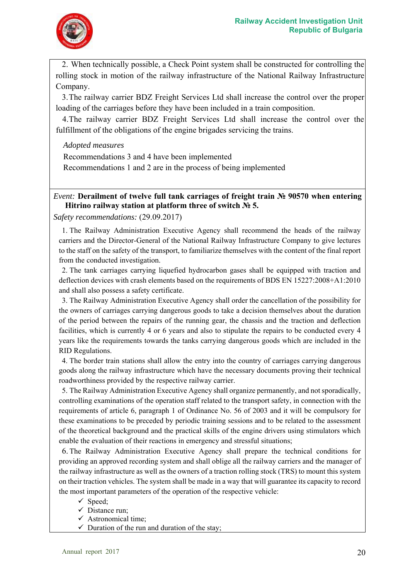![](_page_19_Picture_1.jpeg)

2. When technically possible, a Check Point system shall be constructed for controlling the rolling stock in motion of the railway infrastructure of the National Railway Infrastructure Company.

3.The railway carrier BDZ Freight Services Ltd shall increase the control over the proper loading of the carriages before they have been included in a train composition.

4.The railway carrier BDZ Freight Services Ltd shall increase the control over the fulfillment of the obligations of the engine brigades servicing the trains.

*Adopted measures* 

Recommendations 3 and 4 have been implemented

Recommendations 1 and 2 are in the process of being implemented

## *Event:* **Derailment of twelve full tank carriages of freight train № 90570 when entering Hitrino railway station at platform three of switch № 5.**

*Safety recommendations:* (29.09.2017)

1. The Railway Administration Executive Agency shall recommend the heads of the railway carriers and the Director-General of the National Railway Infrastructure Company to give lectures to the staff on the safety of the transport, to familiarize themselves with the content of the final report from the conducted investigation.

2. The tank carriages carrying liquefied hydrocarbon gases shall be equipped with traction and deflection devices with crash elements based on the requirements of BDS EN 15227:2008+A1:2010 and shall also possess a safety certificate.

3. The Railway Administration Executive Agency shall order the cancellation of the possibility for the owners of carriages carrying dangerous goods to take a decision themselves about the duration of the period between the repairs of the running gear, the chassis and the traction and deflection facilities, which is currently 4 or 6 years and also to stipulate the repairs to be conducted every 4 years like the requirements towards the tanks carrying dangerous goods which are included in the RID Regulations.

4. The border train stations shall allow the entry into the country of carriages carrying dangerous goods along the railway infrastructure which have the necessary documents proving their technical roadworthiness provided by the respective railway carrier.

5. The Railway Administration Executive Agency shall organize permanently, and not sporadically, controlling examinations of the operation staff related to the transport safety, in connection with the requirements of article 6, paragraph 1 of Ordinance No. 56 of 2003 and it will be compulsory for these examinations to be preceded by periodic training sessions and to be related to the assessment of the theoretical background and the practical skills of the engine drivers using stimulators which enable the evaluation of their reactions in emergency and stressful situations;

6. The Railway Administration Executive Agency shall prepare the technical conditions for providing an approved recording system and shall oblige all the railway carriers and the manager of the railway infrastructure as well as the owners of a traction rolling stock (TRS) to mount this system on their traction vehicles. The system shall be made in a way that will guarantee its capacity to record the most important parameters of the operation of the respective vehicle:

- $\checkmark$  Speed;
- $\checkmark$  Distance run:
- $\checkmark$  Astronomical time;
- $\checkmark$  Duration of the run and duration of the stay;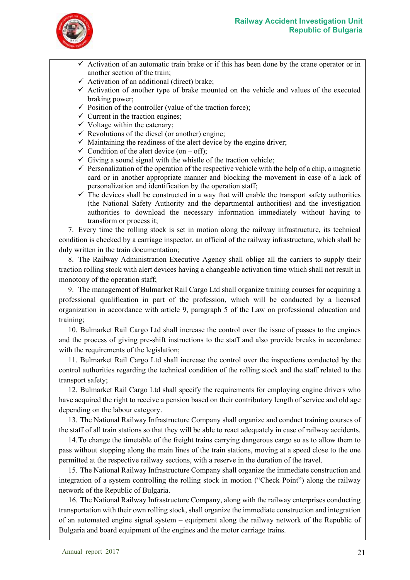![](_page_20_Picture_1.jpeg)

- $\checkmark$  Activation of an automatic train brake or if this has been done by the crane operator or in another section of the train;
- $\checkmark$  Activation of an additional (direct) brake;
- $\checkmark$  Activation of another type of brake mounted on the vehicle and values of the executed braking power;
- $\checkmark$  Position of the controller (value of the traction force);
- $\checkmark$  Current in the traction engines;
- $\checkmark$  Voltage within the catenary;
- $\checkmark$  Revolutions of the diesel (or another) engine;
- $\checkmark$  Maintaining the readiness of the alert device by the engine driver;
- $\checkmark$  Condition of the alert device (on off);
- $\checkmark$  Giving a sound signal with the whistle of the traction vehicle;
- $\checkmark$  Personalization of the operation of the respective vehicle with the help of a chip, a magnetic card or in another appropriate manner and blocking the movement in case of a lack of personalization and identification by the operation staff;
- $\checkmark$  The devices shall be constructed in a way that will enable the transport safety authorities (the National Safety Authority and the departmental authorities) and the investigation authorities to download the necessary information immediately without having to transform or process it;

7. Every time the rolling stock is set in motion along the railway infrastructure, its technical condition is checked by a carriage inspector, an official of the railway infrastructure, which shall be duly written in the train documentation;

8. The Railway Administration Executive Agency shall oblige all the carriers to supply their traction rolling stock with alert devices having a changeable activation time which shall not result in monotony of the operation staff;

9. The management of Bulmarket Rail Cargo Ltd shall organize training courses for acquiring a professional qualification in part of the profession, which will be conducted by a licensed organization in accordance with article 9, paragraph 5 of the Law on professional education and training;

10. Bulmarket Rail Cargo Ltd shall increase the control over the issue of passes to the engines and the process of giving pre-shift instructions to the staff and also provide breaks in accordance with the requirements of the legislation;

11. Bulmarket Rail Cargo Ltd shall increase the control over the inspections conducted by the control authorities regarding the technical condition of the rolling stock and the staff related to the transport safety;

12. Bulmarket Rail Cargo Ltd shall specify the requirements for employing engine drivers who have acquired the right to receive a pension based on their contributory length of service and old age depending on the labour category.

13. The National Railway Infrastructure Company shall organize and conduct training courses of the staff of all train stations so that they will be able to react adequately in case of railway accidents.

14.To change the timetable of the freight trains carrying dangerous cargo so as to allow them to pass without stopping along the main lines of the train stations, moving at a speed close to the one permitted at the respective railway sections, with a reserve in the duration of the travel.

15. The National Railway Infrastructure Company shall organize the immediate construction and integration of a system controlling the rolling stock in motion ("Check Point") along the railway network of the Republic of Bulgaria.

16. The National Railway Infrastructure Company, along with the railway enterprises conducting transportation with their own rolling stock, shall organize the immediate construction and integration of an automated engine signal system – equipment along the railway network of the Republic of Bulgaria and board equipment of the engines and the motor carriage trains.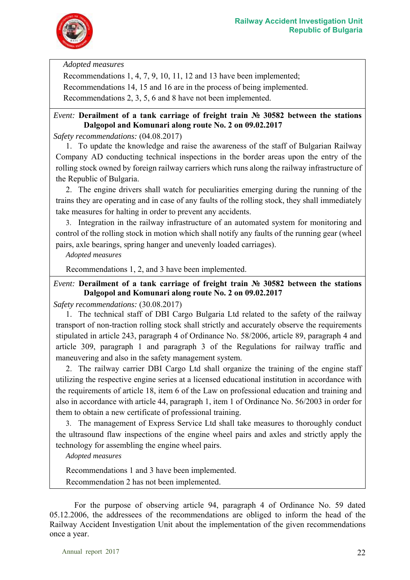![](_page_21_Picture_1.jpeg)

*Adopted measures* 

Recommendations 1, 4, 7, 9, 10, 11, 12 and 13 have been implemented; Recommendations 14, 15 and 16 are in the process of being implemented.

Recommendations 2, 3, 5, 6 and 8 have not been implemented.

## *Event:* **Derailment of a tank carriage of freight train № 30582 between the stations Dalgopol and Komunari along route No. 2 on 09.02.2017**

*Safety recommendations:* (04.08.2017)

1. To update the knowledge and raise the awareness of the staff of Bulgarian Railway Company AD conducting technical inspections in the border areas upon the entry of the rolling stock owned by foreign railway carriers which runs along the railway infrastructure of the Republic of Bulgaria.

2. The engine drivers shall watch for peculiarities emerging during the running of the trains they are operating and in case of any faults of the rolling stock, they shall immediately take measures for halting in order to prevent any accidents.

3. Integration in the railway infrastructure of an automated system for monitoring and control of the rolling stock in motion which shall notify any faults of the running gear (wheel pairs, axle bearings, spring hanger and unevenly loaded carriages).

*Adopted measures* 

Recommendations 1, 2, and 3 have been implemented.

*Event:* **Derailment of a tank carriage of freight train № 30582 between the stations Dalgopol and Komunari along route No. 2 on 09.02.2017** 

*Safety recommendations:* (30.08.2017)

1. The technical staff of DBI Cargo Bulgaria Ltd related to the safety of the railway transport of non-traction rolling stock shall strictly and accurately observe the requirements stipulated in article 243, paragraph 4 of Ordinance No. 58/2006, article 89, paragraph 4 and article 309, paragraph 1 and paragraph 3 of the Regulations for railway traffic and maneuvering and also in the safety management system.

2. The railway carrier DBI Cargo Ltd shall organize the training of the engine staff utilizing the respective engine series at a licensed educational institution in accordance with the requirements of article 18, item 6 of the Law on professional education and training and also in accordance with article 44, paragraph 1, item 1 of Ordinance No. 56/2003 in order for them to obtain a new certificate of professional training.

3. The management of Express Service Ltd shall take measures to thoroughly conduct the ultrasound flaw inspections of the engine wheel pairs and axles and strictly apply the technology for assembling the engine wheel pairs.

*Adopted measures* 

Recommendations 1 and 3 have been implemented. Recommendation 2 has not been implemented.

 For the purpose of observing article 94, paragraph 4 of Ordinance No. 59 dated 05.12.2006, the addressees of the recommendations are obliged to inform the head of the Railway Accident Investigation Unit about the implementation of the given recommendations once a year.